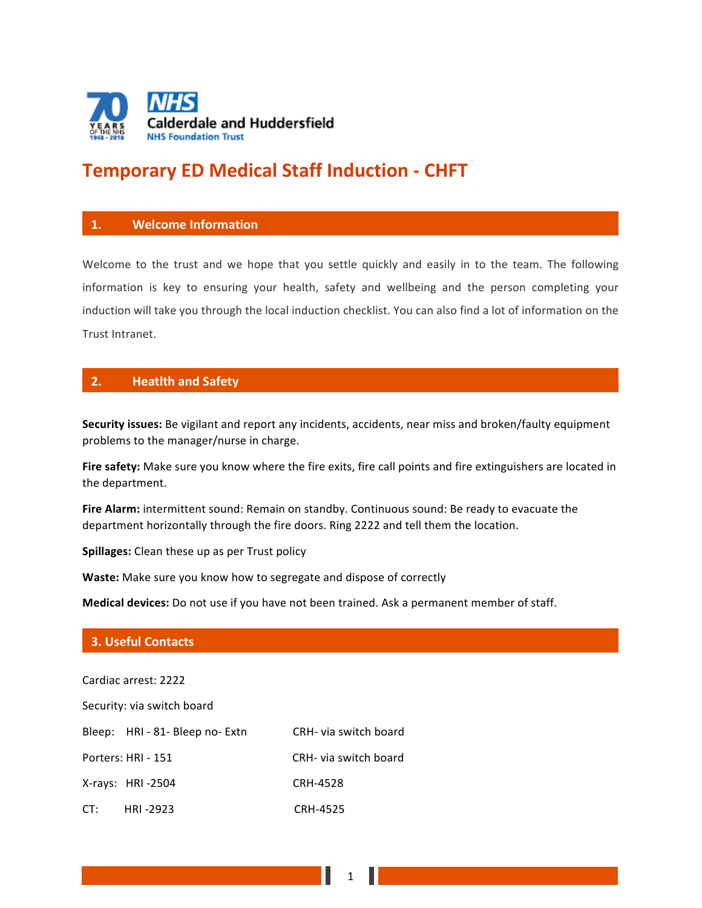

# **Temporary ED Medical Staff Induction - CHFT**

#### **1. Welcome Information**

Welcome to the trust and we hope that you settle quickly and easily in to the team. The following information is key to ensuring your health, safety and wellbeing and the person completing your induction will take you through the local induction checklist. You can also find a lot of information on the Trust Intranet.

## **2. Heatlth** and Safety

**Security issues:** Be vigilant and report any incidents, accidents, near miss and broken/faulty equipment problems to the manager/nurse in charge.

Fire safety: Make sure you know where the fire exits, fire call points and fire extinguishers are located in the department.

Fire Alarm: intermittent sound: Remain on standby. Continuous sound: Be ready to evacuate the department horizontally through the fire doors. Ring 2222 and tell them the location.

**Spillages:** Clean these up as per Trust policy

**Waste:** Make sure you know how to segregate and dispose of correctly

**Medical devices:** Do not use if you have not been trained. Ask a permanent member of staff.

#### **3. Useful Contacts**

| Cardiac arrest: 2222       |                                 |                       |
|----------------------------|---------------------------------|-----------------------|
| Security: via switch board |                                 |                       |
|                            | Bleep: HRI - 81- Bleep no- Extn | CRH- via switch board |
|                            | Porters: HRI - 151              | CRH- via switch board |
|                            | X-rays: HRI-2504                | <b>CRH-4528</b>       |
|                            | CT: HRI -2923                   | <b>CRH-4525</b>       |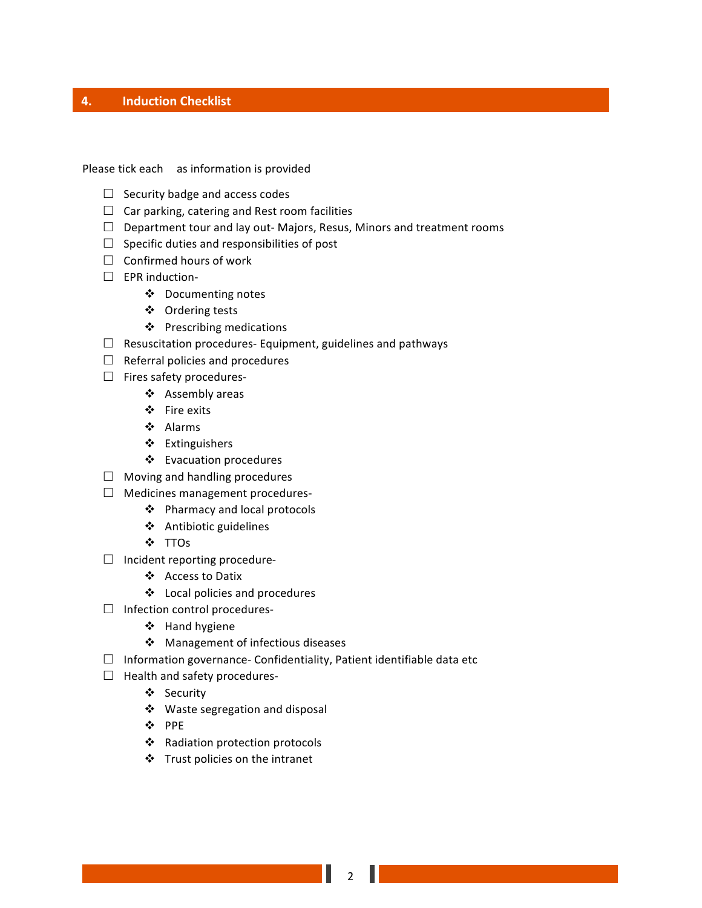### **4. Induction Checklist**

Please tick each as information is provided

- $\Box$  Security badge and access codes
- $\Box$  Car parking, catering and Rest room facilities
- $\Box$  Department tour and lay out- Majors, Resus, Minors and treatment rooms
- $\square$  Specific duties and responsibilities of post
- $\Box$  Confirmed hours of work
- $\square$  EPR induction-
	- ❖ Documenting notes
	- ❖ Ordering tests
	- ❖ Prescribing medications
- $\Box$  Resuscitation procedures- Equipment, guidelines and pathways
- $\Box$  Referral policies and procedures
- $\square$  Fires safety procedures-
	- ❖ Assembly areas
	- v Fire exits
	- v Alarms
	- ❖ Extinguishers
	- ❖ Evacuation procedures
- $\Box$  Moving and handling procedures
- $\Box$  Medicines management procedures-
	- ◆ Pharmacy and local protocols
	- ❖ Antibiotic guidelines
	- v TTOs
- $\square$  Incident reporting procedure
	- v Access to Datix
	- $\triangleleft$  Local policies and procedures
- $\square$  Infection control procedures-
	- ❖ Hand hygiene
	- $\div$  Management of infectious diseases
- $\Box$  Information governance- Confidentiality, Patient identifiable data etc
- $\Box$  Health and safety procedures-
	- ❖ Security
	- ❖ Waste segregation and disposal
	- v PPE
	- ❖ Radiation protection protocols
	- $\cdot$  Trust policies on the intranet

2